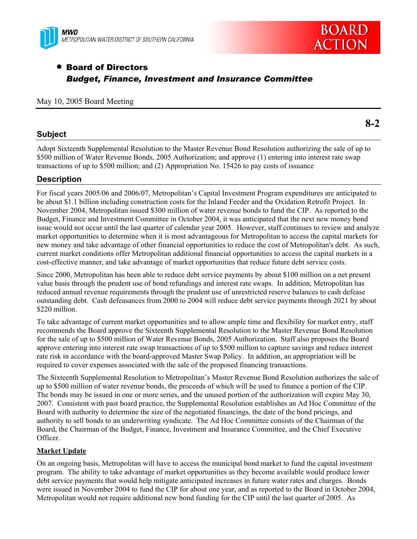



**8-2** 

# • Board of Directors *Budget, Finance, Investment and Insurance Committee*

#### May 10, 2005 Board Meeting

## **Subject**

Adopt Sixteenth Supplemental Resolution to the Master Revenue Bond Resolution authorizing the sale of up to \$500 million of Water Revenue Bonds, 2005 Authorization; and approve (1) entering into interest rate swap transactions of up to \$500 million; and (2) Appropriation No. 15426 to pay costs of issuance

## **Description**

For fiscal years 2005/06 and 2006/07, Metropolitan's Capital Investment Program expenditures are anticipated to be about \$1.1 billion including construction costs for the Inland Feeder and the Oxidation Retrofit Project. In November 2004, Metropolitan issued \$300 million of water revenue bonds to fund the CIP. As reported to the Budget, Finance and Investment Committee in October 2004, it was anticipated that the next new money bond issue would not occur until the last quarter of calendar year 2005. However, staff continues to review and analyze market opportunities to determine when it is most advantageous for Metropolitan to access the capital markets for new money and take advantage of other financial opportunities to reduce the cost of Metropolitan's debt. As such, current market conditions offer Metropolitan additional financial opportunities to access the capital markets in a cost-effective manner, and take advantage of market opportunities that reduce future debt service costs.

Since 2000, Metropolitan has been able to reduce debt service payments by about \$100 million on a net present value basis through the prudent use of bond refundings and interest rate swaps. In addition, Metropolitan has reduced annual revenue requirements through the prudent use of unrestricted reserve balances to cash defease outstanding debt. Cash defeasances from 2000 to 2004 will reduce debt service payments through 2021 by about \$220 million.

To take advantage of current market opportunities and to allow ample time and flexibility for market entry, staff recommends the Board approve the Sixteenth Supplemental Resolution to the Master Revenue Bond Resolution for the sale of up to \$500 million of Water Revenue Bonds, 2005 Authorization. Staff also proposes the Board approve entering into interest rate swap transactions of up to \$500 million to capture savings and reduce interest rate risk in accordance with the board-approved Master Swap Policy. In addition, an appropriation will be required to cover expenses associated with the sale of the proposed financing transactions.

The Sixteenth Supplemental Resolution to Metropolitan's Master Revenue Bond Resolution authorizes the sale of up to \$500 million of water revenue bonds, the proceeds of which will be used to finance a portion of the CIP. The bonds may be issued in one or more series, and the unused portion of the authorization will expire May 30, 2007. Consistent with past board practice, the Supplemental Resolution establishes an Ad Hoc Committee of the Board with authority to determine the size of the negotiated financings, the date of the bond pricings, and authority to sell bonds to an underwriting syndicate. The Ad Hoc Committee consists of the Chairman of the Board, the Chairman of the Budget, Finance, Investment and Insurance Committee, and the Chief Executive Officer.

## **Market Update**

On an ongoing basis, Metropolitan will have to access the municipal bond market to fund the capital investment program. The ability to take advantage of market opportunities as they become available would produce lower debt service payments that would help mitigate anticipated increases in future water rates and charges. Bonds were issued in November 2004 to fund the CIP for about one year, and as reported to the Board in October 2004, Metropolitan would not require additional new bond funding for the CIP until the last quarter of 2005. As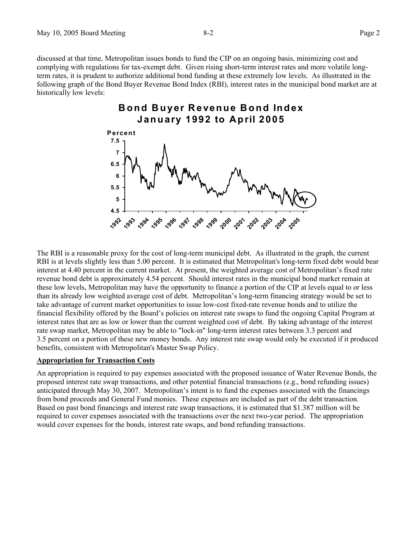discussed at that time, Metropolitan issues bonds to fund the CIP on an ongoing basis, minimizing cost and complying with regulations for tax-exempt debt. Given rising short-term interest rates and more volatile longterm rates, it is prudent to authorize additional bond funding at these extremely low levels. As illustrated in the following graph of the Bond Buyer Revenue Bond Index (RBI), interest rates in the municipal bond market are at historically low levels:

# **Bond Buyer Revenue Bond Index January 1992 to April 2005**



The RBI is a reasonable proxy for the cost of long-term municipal debt. As illustrated in the graph, the current RBI is at levels slightly less than 5.00 percent. It is estimated that Metropolitan's long-term fixed debt would bear interest at 4.40 percent in the current market. At present, the weighted average cost of Metropolitan's fixed rate revenue bond debt is approximately 4.54 percent. Should interest rates in the municipal bond market remain at these low levels, Metropolitan may have the opportunity to finance a portion of the CIP at levels equal to or less than its already low weighted average cost of debt. Metropolitan's long-term financing strategy would be set to take advantage of current market opportunities to issue low-cost fixed-rate revenue bonds and to utilize the financial flexibility offered by the Board's policies on interest rate swaps to fund the ongoing Capital Program at interest rates that are as low or lower than the current weighted cost of debt. By taking advantage of the interest rate swap market, Metropolitan may be able to "lock-in" long-term interest rates between 3.3 percent and 3.5 percent on a portion of these new money bonds. Any interest rate swap would only be executed if it produced benefits, consistent with Metropolitan's Master Swap Policy.

#### **Appropriation for Transaction Costs**

An appropriation is required to pay expenses associated with the proposed issuance of Water Revenue Bonds, the proposed interest rate swap transactions, and other potential financial transactions (e.g., bond refunding issues) anticipated through May 30, 2007. Metropolitan's intent is to fund the expenses associated with the financings from bond proceeds and General Fund monies. These expenses are included as part of the debt transaction. Based on past bond financings and interest rate swap transactions, it is estimated that \$1.387 million will be required to cover expenses associated with the transactions over the next two-year period. The appropriation would cover expenses for the bonds, interest rate swaps, and bond refunding transactions.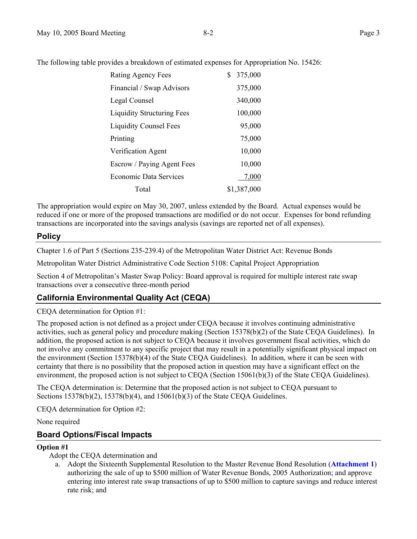The following table provides a breakdown of estimated expenses for Appropriation No. 15426:

| Rating Agency Fees                | \$<br>375,000 |
|-----------------------------------|---------------|
| Financial / Swap Advisors         | 375,000       |
| Legal Counsel                     | 340,000       |
| <b>Liquidity Structuring Fees</b> | 100,000       |
| <b>Liquidity Counsel Fees</b>     | 95,000        |
| Printing                          | 75,000        |
| Verification Agent                | 10,000        |
| Escrow / Paying Agent Fees        | 10,000        |
| <b>Economic Data Services</b>     | 7,000         |
| Total                             | \$1,387,000   |

The appropriation would expire on May 30, 2007, unless extended by the Board. Actual expenses would be reduced if one or more of the proposed transactions are modified or do not occur. Expenses for bond refunding transactions are incorporated into the savings analysis (savings are reported net of all expenses).

## **Policy**

Chapter 1.6 of Part 5 (Sections 235-239.4) of the Metropolitan Water District Act: Revenue Bonds

Metropolitan Water District Administrative Code Section 5108: Capital Project Appropriation

Section 4 of Metropolitan's Master Swap Policy: Board approval is required for multiple interest rate swap transactions over a consecutive three-month period

## **California Environmental Quality Act (CEQA)**

CEQA determination for Option #1:

The proposed action is not defined as a project under CEQA because it involves continuing administrative activities, such as general policy and procedure making (Section 15378(b)(2) of the State CEQA Guidelines). In addition, the proposed action is not subject to CEQA because it involves government fiscal activities, which do not involve any commitment to any specific project that may result in a potentially significant physical impact on the environment (Section 15378(b)(4) of the State CEQA Guidelines). In addition, where it can be seen with certainty that there is no possibility that the proposed action in question may have a significant effect on the environment, the proposed action is not subject to CEQA (Section 15061(b)(3) of the State CEQA Guidelines).

The CEQA determination is: Determine that the proposed action is not subject to CEQA pursuant to Sections 15378(b)(2), 15378(b)(4), and 15061(b)(3) of the State CEQA Guidelines.

CEQA determination for Option #2:

None required

## **Board Options/Fiscal Impacts**

#### **Option #1**

Adopt the CEQA determination and

a. Adopt the Sixteenth Supplemental Resolution to the Master Revenue Bond Resolution (**Attachment 1**) authorizing the sale of up to \$500 million of Water Revenue Bonds, 2005 Authorization; and approve entering into interest rate swap transactions of up to \$500 million to capture savings and reduce interest rate risk; and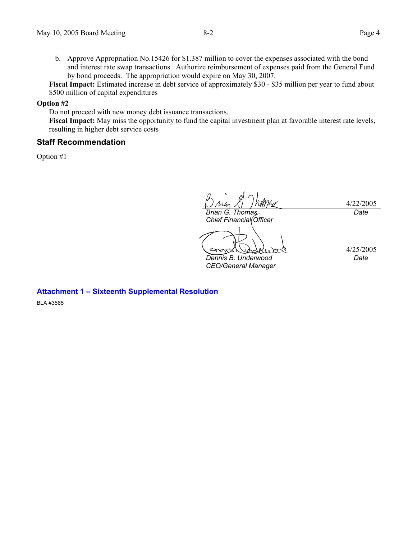b. Approve Appropriation No.15426 for \$1.387 million to cover the expenses associated with the bond and interest rate swap transactions. Authorize reimbursement of expenses paid from the General Fund by bond proceeds. The appropriation would expire on May 30, 2007.

**Fiscal Impact:** Estimated increase in debt service of approximately \$30 - \$35 million per year to fund about \$500 million of capital expenditures

**Option #2** 

Do not proceed with new money debt issuance transactions.

**Fiscal Impact:** May miss the opportunity to fund the capital investment plan at favorable interest rate levels, resulting in higher debt service costs

## **Staff Recommendation**

Option #1

4/22/2005 *Brian G. Thomas Date* 

*Chief Financial Officer* 

4/25/2005 *Date* 

*Dennis B. Underwood CEO/General Manager* 

**Attachment 1 – Sixteenth Supplemental Resolution** 

BLA #3565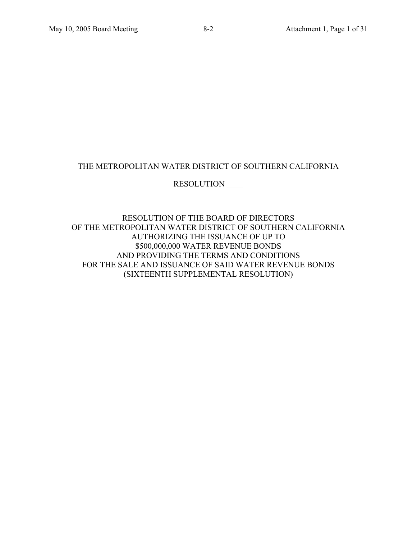## THE METROPOLITAN WATER DISTRICT OF SOUTHERN CALIFORNIA

## RESOLUTION \_\_\_\_

RESOLUTION OF THE BOARD OF DIRECTORS OF THE METROPOLITAN WATER DISTRICT OF SOUTHERN CALIFORNIA AUTHORIZING THE ISSUANCE OF UP TO \$500,000,000 WATER REVENUE BONDS AND PROVIDING THE TERMS AND CONDITIONS FOR THE SALE AND ISSUANCE OF SAID WATER REVENUE BONDS (SIXTEENTH SUPPLEMENTAL RESOLUTION)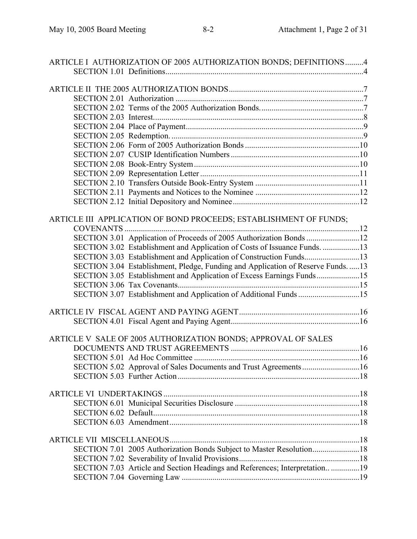| ARTICLE I AUTHORIZATION OF 2005 AUTHORIZATION BONDS; DEFINITIONS4              |  |
|--------------------------------------------------------------------------------|--|
|                                                                                |  |
|                                                                                |  |
|                                                                                |  |
|                                                                                |  |
|                                                                                |  |
|                                                                                |  |
|                                                                                |  |
|                                                                                |  |
|                                                                                |  |
|                                                                                |  |
|                                                                                |  |
|                                                                                |  |
|                                                                                |  |
|                                                                                |  |
|                                                                                |  |
|                                                                                |  |
| ARTICLE III APPLICATION OF BOND PROCEEDS; ESTABLISHMENT OF FUNDS;              |  |
|                                                                                |  |
| SECTION 3.01 Application of Proceeds of 2005 Authorization Bonds 12            |  |
| SECTION 3.02 Establishment and Application of Costs of Issuance Funds. 13      |  |
| SECTION 3.03 Establishment and Application of Construction Funds13             |  |
| SECTION 3.04 Establishment, Pledge, Funding and Application of Reserve Funds13 |  |
| SECTION 3.05 Establishment and Application of Excess Earnings Funds15          |  |
|                                                                                |  |
| SECTION 3.07 Establishment and Application of Additional Funds 15              |  |
|                                                                                |  |
|                                                                                |  |
|                                                                                |  |
|                                                                                |  |
| ARTICLE V SALE OF 2005 AUTHORIZATION BONDS; APPROVAL OF SALES                  |  |
|                                                                                |  |
|                                                                                |  |
| SECTION 5.02 Approval of Sales Documents and Trust Agreements 16               |  |
|                                                                                |  |
|                                                                                |  |
|                                                                                |  |
|                                                                                |  |
|                                                                                |  |
|                                                                                |  |
|                                                                                |  |
| SECTION 7.01 2005 Authorization Bonds Subject to Master Resolution18           |  |
|                                                                                |  |
| SECTION 7.03 Article and Section Headings and References; Interpretation19     |  |
|                                                                                |  |
|                                                                                |  |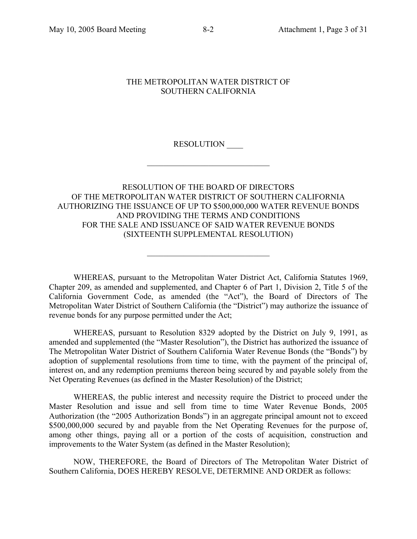## THE METROPOLITAN WATER DISTRICT OF SOUTHERN CALIFORNIA

RESOLUTION \_\_\_\_

 $\mathcal{L}_\text{max}$  , and the set of the set of the set of the set of the set of the set of the set of the set of the set of the set of the set of the set of the set of the set of the set of the set of the set of the set of the

## RESOLUTION OF THE BOARD OF DIRECTORS OF THE METROPOLITAN WATER DISTRICT OF SOUTHERN CALIFORNIA AUTHORIZING THE ISSUANCE OF UP TO \$500,000,000 WATER REVENUE BONDS AND PROVIDING THE TERMS AND CONDITIONS FOR THE SALE AND ISSUANCE OF SAID WATER REVENUE BONDS (SIXTEENTH SUPPLEMENTAL RESOLUTION)

WHEREAS, pursuant to the Metropolitan Water District Act, California Statutes 1969, Chapter 209, as amended and supplemented, and Chapter 6 of Part 1, Division 2, Title 5 of the California Government Code, as amended (the "Act"), the Board of Directors of The Metropolitan Water District of Southern California (the "District") may authorize the issuance of revenue bonds for any purpose permitted under the Act;

 $\mathcal{L}_\text{max}$  , and the set of the set of the set of the set of the set of the set of the set of the set of the set of the set of the set of the set of the set of the set of the set of the set of the set of the set of the

WHEREAS, pursuant to Resolution 8329 adopted by the District on July 9, 1991, as amended and supplemented (the "Master Resolution"), the District has authorized the issuance of The Metropolitan Water District of Southern California Water Revenue Bonds (the "Bonds") by adoption of supplemental resolutions from time to time, with the payment of the principal of, interest on, and any redemption premiums thereon being secured by and payable solely from the Net Operating Revenues (as defined in the Master Resolution) of the District;

WHEREAS, the public interest and necessity require the District to proceed under the Master Resolution and issue and sell from time to time Water Revenue Bonds, 2005 Authorization (the "2005 Authorization Bonds") in an aggregate principal amount not to exceed \$500,000,000 secured by and payable from the Net Operating Revenues for the purpose of, among other things, paying all or a portion of the costs of acquisition, construction and improvements to the Water System (as defined in the Master Resolution);

NOW, THEREFORE, the Board of Directors of The Metropolitan Water District of Southern California, DOES HEREBY RESOLVE, DETERMINE AND ORDER as follows: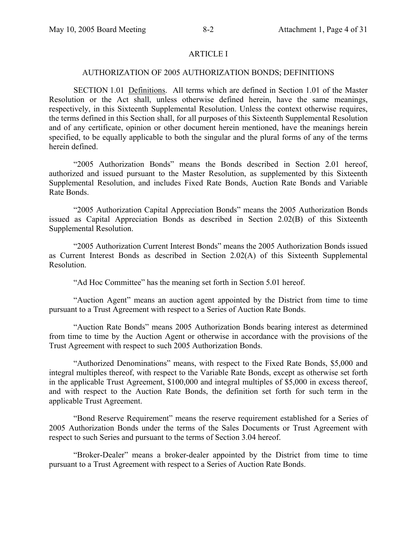## ARTICLE I

#### AUTHORIZATION OF 2005 AUTHORIZATION BONDS; DEFINITIONS

SECTION 1.01 Definitions. All terms which are defined in Section 1.01 of the Master Resolution or the Act shall, unless otherwise defined herein, have the same meanings, respectively, in this Sixteenth Supplemental Resolution. Unless the context otherwise requires, the terms defined in this Section shall, for all purposes of this Sixteenth Supplemental Resolution and of any certificate, opinion or other document herein mentioned, have the meanings herein specified, to be equally applicable to both the singular and the plural forms of any of the terms herein defined.

"2005 Authorization Bonds" means the Bonds described in Section 2.01 hereof, authorized and issued pursuant to the Master Resolution, as supplemented by this Sixteenth Supplemental Resolution, and includes Fixed Rate Bonds, Auction Rate Bonds and Variable Rate Bonds.

"2005 Authorization Capital Appreciation Bonds" means the 2005 Authorization Bonds issued as Capital Appreciation Bonds as described in Section 2.02(B) of this Sixteenth Supplemental Resolution.

"2005 Authorization Current Interest Bonds" means the 2005 Authorization Bonds issued as Current Interest Bonds as described in Section 2.02(A) of this Sixteenth Supplemental Resolution.

"Ad Hoc Committee" has the meaning set forth in Section 5.01 hereof.

"Auction Agent" means an auction agent appointed by the District from time to time pursuant to a Trust Agreement with respect to a Series of Auction Rate Bonds.

"Auction Rate Bonds" means 2005 Authorization Bonds bearing interest as determined from time to time by the Auction Agent or otherwise in accordance with the provisions of the Trust Agreement with respect to such 2005 Authorization Bonds.

"Authorized Denominations" means, with respect to the Fixed Rate Bonds, \$5,000 and integral multiples thereof, with respect to the Variable Rate Bonds, except as otherwise set forth in the applicable Trust Agreement, \$100,000 and integral multiples of \$5,000 in excess thereof, and with respect to the Auction Rate Bonds, the definition set forth for such term in the applicable Trust Agreement.

"Bond Reserve Requirement" means the reserve requirement established for a Series of 2005 Authorization Bonds under the terms of the Sales Documents or Trust Agreement with respect to such Series and pursuant to the terms of Section 3.04 hereof.

"Broker-Dealer" means a broker-dealer appointed by the District from time to time pursuant to a Trust Agreement with respect to a Series of Auction Rate Bonds.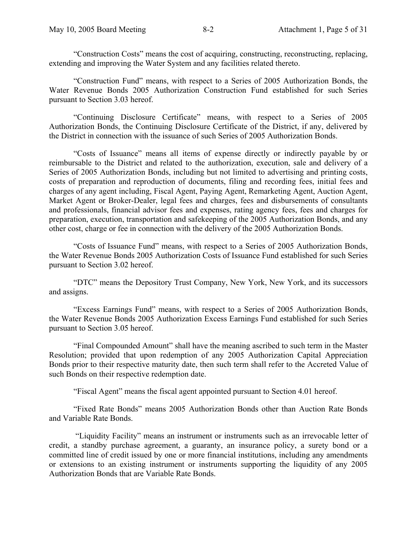"Construction Costs" means the cost of acquiring, constructing, reconstructing, replacing, extending and improving the Water System and any facilities related thereto.

"Construction Fund" means, with respect to a Series of 2005 Authorization Bonds, the Water Revenue Bonds 2005 Authorization Construction Fund established for such Series pursuant to Section 3.03 hereof.

"Continuing Disclosure Certificate" means, with respect to a Series of 2005 Authorization Bonds, the Continuing Disclosure Certificate of the District, if any, delivered by the District in connection with the issuance of such Series of 2005 Authorization Bonds.

"Costs of Issuance" means all items of expense directly or indirectly payable by or reimbursable to the District and related to the authorization, execution, sale and delivery of a Series of 2005 Authorization Bonds, including but not limited to advertising and printing costs, costs of preparation and reproduction of documents, filing and recording fees, initial fees and charges of any agent including, Fiscal Agent, Paying Agent, Remarketing Agent, Auction Agent, Market Agent or Broker-Dealer, legal fees and charges, fees and disbursements of consultants and professionals, financial advisor fees and expenses, rating agency fees, fees and charges for preparation, execution, transportation and safekeeping of the 2005 Authorization Bonds, and any other cost, charge or fee in connection with the delivery of the 2005 Authorization Bonds.

"Costs of Issuance Fund" means, with respect to a Series of 2005 Authorization Bonds, the Water Revenue Bonds 2005 Authorization Costs of Issuance Fund established for such Series pursuant to Section 3.02 hereof.

"DTC" means the Depository Trust Company, New York, New York, and its successors and assigns.

"Excess Earnings Fund" means, with respect to a Series of 2005 Authorization Bonds, the Water Revenue Bonds 2005 Authorization Excess Earnings Fund established for such Series pursuant to Section 3.05 hereof.

"Final Compounded Amount" shall have the meaning ascribed to such term in the Master Resolution; provided that upon redemption of any 2005 Authorization Capital Appreciation Bonds prior to their respective maturity date, then such term shall refer to the Accreted Value of such Bonds on their respective redemption date.

"Fiscal Agent" means the fiscal agent appointed pursuant to Section 4.01 hereof.

"Fixed Rate Bonds" means 2005 Authorization Bonds other than Auction Rate Bonds and Variable Rate Bonds.

 "Liquidity Facility" means an instrument or instruments such as an irrevocable letter of credit, a standby purchase agreement, a guaranty, an insurance policy, a surety bond or a committed line of credit issued by one or more financial institutions, including any amendments or extensions to an existing instrument or instruments supporting the liquidity of any 2005 Authorization Bonds that are Variable Rate Bonds.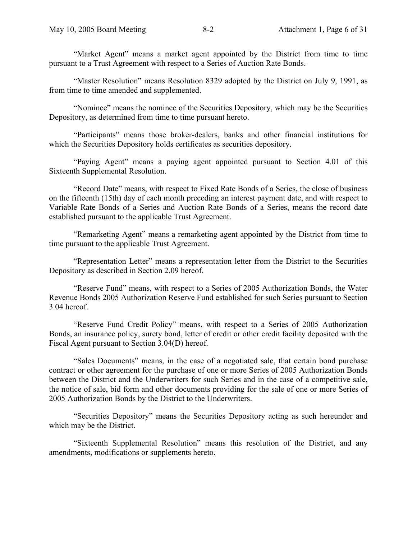"Market Agent" means a market agent appointed by the District from time to time pursuant to a Trust Agreement with respect to a Series of Auction Rate Bonds.

"Master Resolution" means Resolution 8329 adopted by the District on July 9, 1991, as from time to time amended and supplemented.

"Nominee" means the nominee of the Securities Depository, which may be the Securities Depository, as determined from time to time pursuant hereto.

"Participants" means those broker-dealers, banks and other financial institutions for which the Securities Depository holds certificates as securities depository.

"Paying Agent" means a paying agent appointed pursuant to Section 4.01 of this Sixteenth Supplemental Resolution.

"Record Date" means, with respect to Fixed Rate Bonds of a Series, the close of business on the fifteenth (15th) day of each month preceding an interest payment date, and with respect to Variable Rate Bonds of a Series and Auction Rate Bonds of a Series, means the record date established pursuant to the applicable Trust Agreement.

"Remarketing Agent" means a remarketing agent appointed by the District from time to time pursuant to the applicable Trust Agreement.

"Representation Letter" means a representation letter from the District to the Securities Depository as described in Section 2.09 hereof.

"Reserve Fund" means, with respect to a Series of 2005 Authorization Bonds, the Water Revenue Bonds 2005 Authorization Reserve Fund established for such Series pursuant to Section 3.04 hereof.

"Reserve Fund Credit Policy" means, with respect to a Series of 2005 Authorization Bonds, an insurance policy, surety bond, letter of credit or other credit facility deposited with the Fiscal Agent pursuant to Section 3.04(D) hereof.

"Sales Documents" means, in the case of a negotiated sale, that certain bond purchase contract or other agreement for the purchase of one or more Series of 2005 Authorization Bonds between the District and the Underwriters for such Series and in the case of a competitive sale, the notice of sale, bid form and other documents providing for the sale of one or more Series of 2005 Authorization Bonds by the District to the Underwriters.

"Securities Depository" means the Securities Depository acting as such hereunder and which may be the District.

"Sixteenth Supplemental Resolution" means this resolution of the District, and any amendments, modifications or supplements hereto.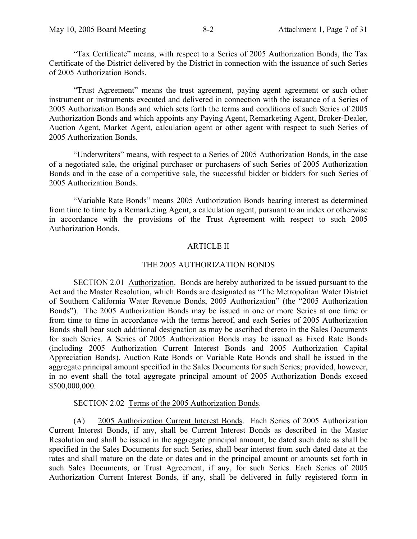"Tax Certificate" means, with respect to a Series of 2005 Authorization Bonds, the Tax Certificate of the District delivered by the District in connection with the issuance of such Series of 2005 Authorization Bonds.

"Trust Agreement" means the trust agreement, paying agent agreement or such other instrument or instruments executed and delivered in connection with the issuance of a Series of 2005 Authorization Bonds and which sets forth the terms and conditions of such Series of 2005 Authorization Bonds and which appoints any Paying Agent, Remarketing Agent, Broker-Dealer, Auction Agent, Market Agent, calculation agent or other agent with respect to such Series of 2005 Authorization Bonds.

"Underwriters" means, with respect to a Series of 2005 Authorization Bonds, in the case of a negotiated sale, the original purchaser or purchasers of such Series of 2005 Authorization Bonds and in the case of a competitive sale, the successful bidder or bidders for such Series of 2005 Authorization Bonds.

"Variable Rate Bonds" means 2005 Authorization Bonds bearing interest as determined from time to time by a Remarketing Agent, a calculation agent, pursuant to an index or otherwise in accordance with the provisions of the Trust Agreement with respect to such 2005 Authorization Bonds.

#### ARTICLE II

#### THE 2005 AUTHORIZATION BONDS

SECTION 2.01 Authorization. Bonds are hereby authorized to be issued pursuant to the Act and the Master Resolution, which Bonds are designated as "The Metropolitan Water District of Southern California Water Revenue Bonds, 2005 Authorization" (the "2005 Authorization Bonds"). The 2005 Authorization Bonds may be issued in one or more Series at one time or from time to time in accordance with the terms hereof, and each Series of 2005 Authorization Bonds shall bear such additional designation as may be ascribed thereto in the Sales Documents for such Series. A Series of 2005 Authorization Bonds may be issued as Fixed Rate Bonds (including 2005 Authorization Current Interest Bonds and 2005 Authorization Capital Appreciation Bonds), Auction Rate Bonds or Variable Rate Bonds and shall be issued in the aggregate principal amount specified in the Sales Documents for such Series; provided, however, in no event shall the total aggregate principal amount of 2005 Authorization Bonds exceed \$500,000,000.

#### SECTION 2.02 Terms of the 2005 Authorization Bonds.

(A) 2005 Authorization Current Interest Bonds. Each Series of 2005 Authorization Current Interest Bonds, if any, shall be Current Interest Bonds as described in the Master Resolution and shall be issued in the aggregate principal amount, be dated such date as shall be specified in the Sales Documents for such Series, shall bear interest from such dated date at the rates and shall mature on the date or dates and in the principal amount or amounts set forth in such Sales Documents, or Trust Agreement, if any, for such Series. Each Series of 2005 Authorization Current Interest Bonds, if any, shall be delivered in fully registered form in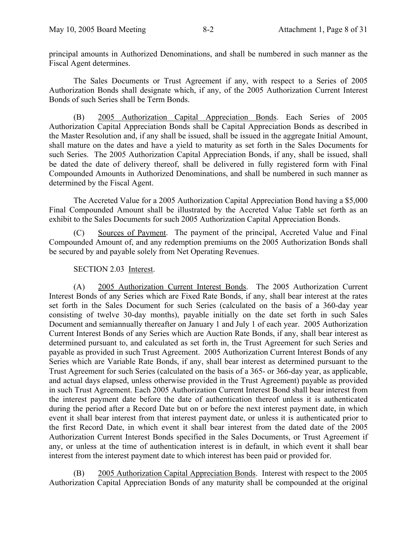principal amounts in Authorized Denominations, and shall be numbered in such manner as the Fiscal Agent determines.

The Sales Documents or Trust Agreement if any, with respect to a Series of 2005 Authorization Bonds shall designate which, if any, of the 2005 Authorization Current Interest Bonds of such Series shall be Term Bonds.

(B) 2005 Authorization Capital Appreciation Bonds. Each Series of 2005 Authorization Capital Appreciation Bonds shall be Capital Appreciation Bonds as described in the Master Resolution and, if any shall be issued, shall be issued in the aggregate Initial Amount, shall mature on the dates and have a yield to maturity as set forth in the Sales Documents for such Series. The 2005 Authorization Capital Appreciation Bonds, if any, shall be issued, shall be dated the date of delivery thereof, shall be delivered in fully registered form with Final Compounded Amounts in Authorized Denominations, and shall be numbered in such manner as determined by the Fiscal Agent.

The Accreted Value for a 2005 Authorization Capital Appreciation Bond having a \$5,000 Final Compounded Amount shall be illustrated by the Accreted Value Table set forth as an exhibit to the Sales Documents for such 2005 Authorization Capital Appreciation Bonds.

(C) Sources of Payment. The payment of the principal, Accreted Value and Final Compounded Amount of, and any redemption premiums on the 2005 Authorization Bonds shall be secured by and payable solely from Net Operating Revenues.

#### SECTION 2.03 Interest.

(A) 2005 Authorization Current Interest Bonds. The 2005 Authorization Current Interest Bonds of any Series which are Fixed Rate Bonds, if any, shall bear interest at the rates set forth in the Sales Document for such Series (calculated on the basis of a 360-day year consisting of twelve 30-day months), payable initially on the date set forth in such Sales Document and semiannually thereafter on January 1 and July 1 of each year. 2005 Authorization Current Interest Bonds of any Series which are Auction Rate Bonds, if any, shall bear interest as determined pursuant to, and calculated as set forth in, the Trust Agreement for such Series and payable as provided in such Trust Agreement. 2005 Authorization Current Interest Bonds of any Series which are Variable Rate Bonds, if any, shall bear interest as determined pursuant to the Trust Agreement for such Series (calculated on the basis of a 365- or 366-day year, as applicable, and actual days elapsed, unless otherwise provided in the Trust Agreement) payable as provided in such Trust Agreement. Each 2005 Authorization Current Interest Bond shall bear interest from the interest payment date before the date of authentication thereof unless it is authenticated during the period after a Record Date but on or before the next interest payment date, in which event it shall bear interest from that interest payment date, or unless it is authenticated prior to the first Record Date, in which event it shall bear interest from the dated date of the 2005 Authorization Current Interest Bonds specified in the Sales Documents, or Trust Agreement if any, or unless at the time of authentication interest is in default, in which event it shall bear interest from the interest payment date to which interest has been paid or provided for.

(B) 2005 Authorization Capital Appreciation Bonds. Interest with respect to the 2005 Authorization Capital Appreciation Bonds of any maturity shall be compounded at the original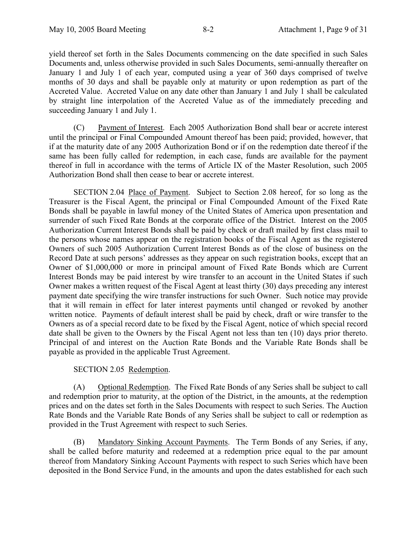yield thereof set forth in the Sales Documents commencing on the date specified in such Sales Documents and, unless otherwise provided in such Sales Documents, semi-annually thereafter on January 1 and July 1 of each year, computed using a year of 360 days comprised of twelve months of 30 days and shall be payable only at maturity or upon redemption as part of the Accreted Value. Accreted Value on any date other than January 1 and July 1 shall be calculated by straight line interpolation of the Accreted Value as of the immediately preceding and succeeding January 1 and July 1.

(C) Payment of Interest. Each 2005 Authorization Bond shall bear or accrete interest until the principal or Final Compounded Amount thereof has been paid; provided, however, that if at the maturity date of any 2005 Authorization Bond or if on the redemption date thereof if the same has been fully called for redemption, in each case, funds are available for the payment thereof in full in accordance with the terms of Article IX of the Master Resolution, such 2005 Authorization Bond shall then cease to bear or accrete interest.

SECTION 2.04 Place of Payment. Subject to Section 2.08 hereof, for so long as the Treasurer is the Fiscal Agent, the principal or Final Compounded Amount of the Fixed Rate Bonds shall be payable in lawful money of the United States of America upon presentation and surrender of such Fixed Rate Bonds at the corporate office of the District. Interest on the 2005 Authorization Current Interest Bonds shall be paid by check or draft mailed by first class mail to the persons whose names appear on the registration books of the Fiscal Agent as the registered Owners of such 2005 Authorization Current Interest Bonds as of the close of business on the Record Date at such persons' addresses as they appear on such registration books, except that an Owner of \$1,000,000 or more in principal amount of Fixed Rate Bonds which are Current Interest Bonds may be paid interest by wire transfer to an account in the United States if such Owner makes a written request of the Fiscal Agent at least thirty (30) days preceding any interest payment date specifying the wire transfer instructions for such Owner. Such notice may provide that it will remain in effect for later interest payments until changed or revoked by another written notice. Payments of default interest shall be paid by check, draft or wire transfer to the Owners as of a special record date to be fixed by the Fiscal Agent, notice of which special record date shall be given to the Owners by the Fiscal Agent not less than ten (10) days prior thereto. Principal of and interest on the Auction Rate Bonds and the Variable Rate Bonds shall be payable as provided in the applicable Trust Agreement.

## SECTION 2.05 Redemption.

(A) Optional Redemption. The Fixed Rate Bonds of any Series shall be subject to call and redemption prior to maturity, at the option of the District, in the amounts, at the redemption prices and on the dates set forth in the Sales Documents with respect to such Series. The Auction Rate Bonds and the Variable Rate Bonds of any Series shall be subject to call or redemption as provided in the Trust Agreement with respect to such Series.

(B) Mandatory Sinking Account Payments. The Term Bonds of any Series, if any, shall be called before maturity and redeemed at a redemption price equal to the par amount thereof from Mandatory Sinking Account Payments with respect to such Series which have been deposited in the Bond Service Fund, in the amounts and upon the dates established for each such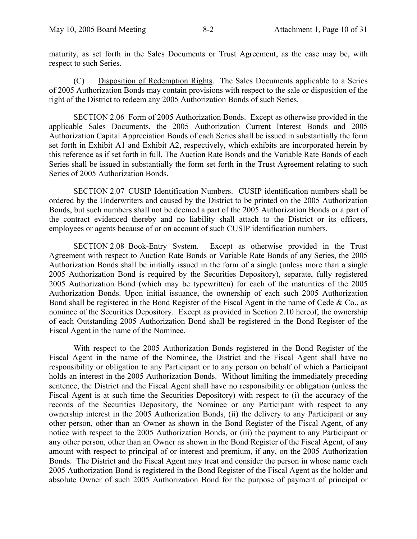maturity, as set forth in the Sales Documents or Trust Agreement, as the case may be, with respect to such Series.

(C) Disposition of Redemption Rights. The Sales Documents applicable to a Series of 2005 Authorization Bonds may contain provisions with respect to the sale or disposition of the right of the District to redeem any 2005 Authorization Bonds of such Series.

SECTION 2.06 Form of 2005 Authorization Bonds. Except as otherwise provided in the applicable Sales Documents, the 2005 Authorization Current Interest Bonds and 2005 Authorization Capital Appreciation Bonds of each Series shall be issued in substantially the form set forth in Exhibit A1 and Exhibit A2, respectively, which exhibits are incorporated herein by this reference as if set forth in full. The Auction Rate Bonds and the Variable Rate Bonds of each Series shall be issued in substantially the form set forth in the Trust Agreement relating to such Series of 2005 Authorization Bonds.

SECTION 2.07 CUSIP Identification Numbers. CUSIP identification numbers shall be ordered by the Underwriters and caused by the District to be printed on the 2005 Authorization Bonds, but such numbers shall not be deemed a part of the 2005 Authorization Bonds or a part of the contract evidenced thereby and no liability shall attach to the District or its officers, employees or agents because of or on account of such CUSIP identification numbers.

SECTION 2.08 Book-Entry System. Except as otherwise provided in the Trust Agreement with respect to Auction Rate Bonds or Variable Rate Bonds of any Series, the 2005 Authorization Bonds shall be initially issued in the form of a single (unless more than a single 2005 Authorization Bond is required by the Securities Depository), separate, fully registered 2005 Authorization Bond (which may be typewritten) for each of the maturities of the 2005 Authorization Bonds. Upon initial issuance, the ownership of each such 2005 Authorization Bond shall be registered in the Bond Register of the Fiscal Agent in the name of Cede & Co., as nominee of the Securities Depository. Except as provided in Section 2.10 hereof, the ownership of each Outstanding 2005 Authorization Bond shall be registered in the Bond Register of the Fiscal Agent in the name of the Nominee.

With respect to the 2005 Authorization Bonds registered in the Bond Register of the Fiscal Agent in the name of the Nominee, the District and the Fiscal Agent shall have no responsibility or obligation to any Participant or to any person on behalf of which a Participant holds an interest in the 2005 Authorization Bonds. Without limiting the immediately preceding sentence, the District and the Fiscal Agent shall have no responsibility or obligation (unless the Fiscal Agent is at such time the Securities Depository) with respect to (i) the accuracy of the records of the Securities Depository, the Nominee or any Participant with respect to any ownership interest in the 2005 Authorization Bonds, (ii) the delivery to any Participant or any other person, other than an Owner as shown in the Bond Register of the Fiscal Agent, of any notice with respect to the 2005 Authorization Bonds, or (iii) the payment to any Participant or any other person, other than an Owner as shown in the Bond Register of the Fiscal Agent, of any amount with respect to principal of or interest and premium, if any, on the 2005 Authorization Bonds. The District and the Fiscal Agent may treat and consider the person in whose name each 2005 Authorization Bond is registered in the Bond Register of the Fiscal Agent as the holder and absolute Owner of such 2005 Authorization Bond for the purpose of payment of principal or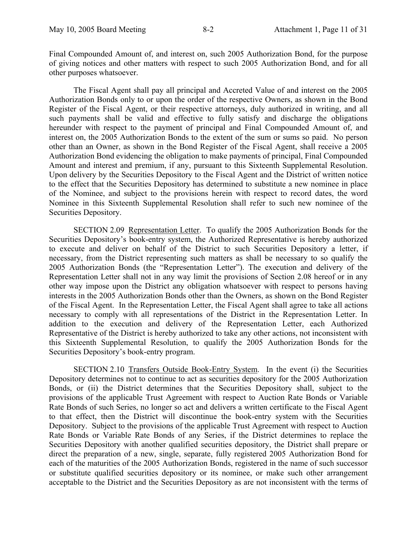Final Compounded Amount of, and interest on, such 2005 Authorization Bond, for the purpose of giving notices and other matters with respect to such 2005 Authorization Bond, and for all other purposes whatsoever.

The Fiscal Agent shall pay all principal and Accreted Value of and interest on the 2005 Authorization Bonds only to or upon the order of the respective Owners, as shown in the Bond Register of the Fiscal Agent, or their respective attorneys, duly authorized in writing, and all such payments shall be valid and effective to fully satisfy and discharge the obligations hereunder with respect to the payment of principal and Final Compounded Amount of, and interest on, the 2005 Authorization Bonds to the extent of the sum or sums so paid. No person other than an Owner, as shown in the Bond Register of the Fiscal Agent, shall receive a 2005 Authorization Bond evidencing the obligation to make payments of principal, Final Compounded Amount and interest and premium, if any, pursuant to this Sixteenth Supplemental Resolution. Upon delivery by the Securities Depository to the Fiscal Agent and the District of written notice to the effect that the Securities Depository has determined to substitute a new nominee in place of the Nominee, and subject to the provisions herein with respect to record dates, the word Nominee in this Sixteenth Supplemental Resolution shall refer to such new nominee of the Securities Depository.

SECTION 2.09 Representation Letter. To qualify the 2005 Authorization Bonds for the Securities Depository's book-entry system, the Authorized Representative is hereby authorized to execute and deliver on behalf of the District to such Securities Depository a letter, if necessary, from the District representing such matters as shall be necessary to so qualify the 2005 Authorization Bonds (the "Representation Letter"). The execution and delivery of the Representation Letter shall not in any way limit the provisions of Section 2.08 hereof or in any other way impose upon the District any obligation whatsoever with respect to persons having interests in the 2005 Authorization Bonds other than the Owners, as shown on the Bond Register of the Fiscal Agent. In the Representation Letter, the Fiscal Agent shall agree to take all actions necessary to comply with all representations of the District in the Representation Letter. In addition to the execution and delivery of the Representation Letter, each Authorized Representative of the District is hereby authorized to take any other actions, not inconsistent with this Sixteenth Supplemental Resolution, to qualify the 2005 Authorization Bonds for the Securities Depository's book-entry program.

SECTION 2.10 Transfers Outside Book-Entry System. In the event (i) the Securities Depository determines not to continue to act as securities depository for the 2005 Authorization Bonds, or (ii) the District determines that the Securities Depository shall, subject to the provisions of the applicable Trust Agreement with respect to Auction Rate Bonds or Variable Rate Bonds of such Series, no longer so act and delivers a written certificate to the Fiscal Agent to that effect, then the District will discontinue the book-entry system with the Securities Depository. Subject to the provisions of the applicable Trust Agreement with respect to Auction Rate Bonds or Variable Rate Bonds of any Series, if the District determines to replace the Securities Depository with another qualified securities depository, the District shall prepare or direct the preparation of a new, single, separate, fully registered 2005 Authorization Bond for each of the maturities of the 2005 Authorization Bonds, registered in the name of such successor or substitute qualified securities depository or its nominee, or make such other arrangement acceptable to the District and the Securities Depository as are not inconsistent with the terms of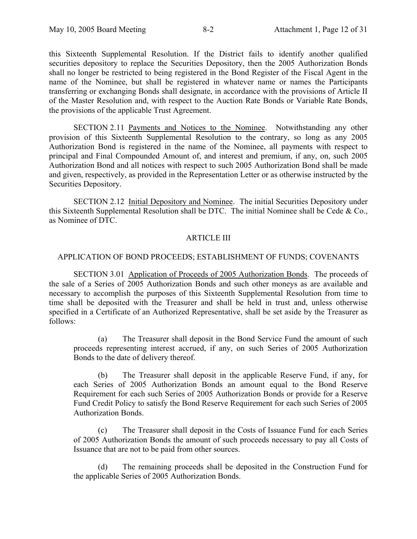this Sixteenth Supplemental Resolution. If the District fails to identify another qualified securities depository to replace the Securities Depository, then the 2005 Authorization Bonds shall no longer be restricted to being registered in the Bond Register of the Fiscal Agent in the name of the Nominee, but shall be registered in whatever name or names the Participants transferring or exchanging Bonds shall designate, in accordance with the provisions of Article II of the Master Resolution and, with respect to the Auction Rate Bonds or Variable Rate Bonds, the provisions of the applicable Trust Agreement.

SECTION 2.11 Payments and Notices to the Nominee. Notwithstanding any other provision of this Sixteenth Supplemental Resolution to the contrary, so long as any 2005 Authorization Bond is registered in the name of the Nominee, all payments with respect to principal and Final Compounded Amount of, and interest and premium, if any, on, such 2005 Authorization Bond and all notices with respect to such 2005 Authorization Bond shall be made and given, respectively, as provided in the Representation Letter or as otherwise instructed by the Securities Depository.

SECTION 2.12 Initial Depository and Nominee. The initial Securities Depository under this Sixteenth Supplemental Resolution shall be DTC. The initial Nominee shall be Cede & Co., as Nominee of DTC.

## ARTICLE III

#### APPLICATION OF BOND PROCEEDS; ESTABLISHMENT OF FUNDS; COVENANTS

SECTION 3.01 Application of Proceeds of 2005 Authorization Bonds. The proceeds of the sale of a Series of 2005 Authorization Bonds and such other moneys as are available and necessary to accomplish the purposes of this Sixteenth Supplemental Resolution from time to time shall be deposited with the Treasurer and shall be held in trust and, unless otherwise specified in a Certificate of an Authorized Representative, shall be set aside by the Treasurer as follows:

(a) The Treasurer shall deposit in the Bond Service Fund the amount of such proceeds representing interest accrued, if any, on such Series of 2005 Authorization Bonds to the date of delivery thereof.

(b) The Treasurer shall deposit in the applicable Reserve Fund, if any, for each Series of 2005 Authorization Bonds an amount equal to the Bond Reserve Requirement for each such Series of 2005 Authorization Bonds or provide for a Reserve Fund Credit Policy to satisfy the Bond Reserve Requirement for each such Series of 2005 Authorization Bonds.

(c) The Treasurer shall deposit in the Costs of Issuance Fund for each Series of 2005 Authorization Bonds the amount of such proceeds necessary to pay all Costs of Issuance that are not to be paid from other sources.

(d) The remaining proceeds shall be deposited in the Construction Fund for the applicable Series of 2005 Authorization Bonds.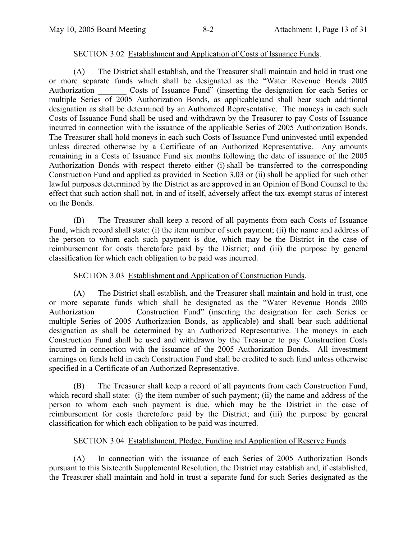## SECTION 3.02 Establishment and Application of Costs of Issuance Funds.

(A) The District shall establish, and the Treasurer shall maintain and hold in trust one or more separate funds which shall be designated as the "Water Revenue Bonds 2005 Authorization Costs of Issuance Fund" (inserting the designation for each Series or multiple Series of 2005 Authorization Bonds, as applicable)and shall bear such additional designation as shall be determined by an Authorized Representative. The moneys in each such Costs of Issuance Fund shall be used and withdrawn by the Treasurer to pay Costs of Issuance incurred in connection with the issuance of the applicable Series of 2005 Authorization Bonds. The Treasurer shall hold moneys in each such Costs of Issuance Fund uninvested until expended unless directed otherwise by a Certificate of an Authorized Representative. Any amounts remaining in a Costs of Issuance Fund six months following the date of issuance of the 2005 Authorization Bonds with respect thereto either (i) shall be transferred to the corresponding Construction Fund and applied as provided in Section 3.03 or (ii) shall be applied for such other lawful purposes determined by the District as are approved in an Opinion of Bond Counsel to the effect that such action shall not, in and of itself, adversely affect the tax-exempt status of interest on the Bonds.

(B) The Treasurer shall keep a record of all payments from each Costs of Issuance Fund, which record shall state: (i) the item number of such payment; (ii) the name and address of the person to whom each such payment is due, which may be the District in the case of reimbursement for costs theretofore paid by the District; and (iii) the purpose by general classification for which each obligation to be paid was incurred.

## SECTION 3.03 Establishment and Application of Construction Funds.

(A) The District shall establish, and the Treasurer shall maintain and hold in trust, one or more separate funds which shall be designated as the "Water Revenue Bonds 2005 Authorization Construction Fund" (inserting the designation for each Series or multiple Series of 2005 Authorization Bonds, as applicable) and shall bear such additional designation as shall be determined by an Authorized Representative. The moneys in each Construction Fund shall be used and withdrawn by the Treasurer to pay Construction Costs incurred in connection with the issuance of the 2005 Authorization Bonds. All investment earnings on funds held in each Construction Fund shall be credited to such fund unless otherwise specified in a Certificate of an Authorized Representative.

(B) The Treasurer shall keep a record of all payments from each Construction Fund, which record shall state: (i) the item number of such payment; (ii) the name and address of the person to whom each such payment is due, which may be the District in the case of reimbursement for costs theretofore paid by the District; and (iii) the purpose by general classification for which each obligation to be paid was incurred.

## SECTION 3.04 Establishment, Pledge, Funding and Application of Reserve Funds.

(A) In connection with the issuance of each Series of 2005 Authorization Bonds pursuant to this Sixteenth Supplemental Resolution, the District may establish and, if established, the Treasurer shall maintain and hold in trust a separate fund for such Series designated as the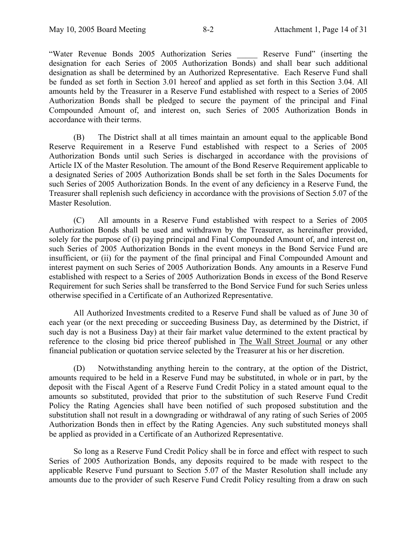"Water Revenue Bonds 2005 Authorization Series \_\_\_\_\_ Reserve Fund" (inserting the designation for each Series of 2005 Authorization Bonds) and shall bear such additional designation as shall be determined by an Authorized Representative. Each Reserve Fund shall be funded as set forth in Section 3.01 hereof and applied as set forth in this Section 3.04. All amounts held by the Treasurer in a Reserve Fund established with respect to a Series of 2005 Authorization Bonds shall be pledged to secure the payment of the principal and Final Compounded Amount of, and interest on, such Series of 2005 Authorization Bonds in accordance with their terms.

(B) The District shall at all times maintain an amount equal to the applicable Bond Reserve Requirement in a Reserve Fund established with respect to a Series of 2005 Authorization Bonds until such Series is discharged in accordance with the provisions of Article IX of the Master Resolution. The amount of the Bond Reserve Requirement applicable to a designated Series of 2005 Authorization Bonds shall be set forth in the Sales Documents for such Series of 2005 Authorization Bonds. In the event of any deficiency in a Reserve Fund, the Treasurer shall replenish such deficiency in accordance with the provisions of Section 5.07 of the Master Resolution.

(C) All amounts in a Reserve Fund established with respect to a Series of 2005 Authorization Bonds shall be used and withdrawn by the Treasurer, as hereinafter provided, solely for the purpose of (i) paying principal and Final Compounded Amount of, and interest on, such Series of 2005 Authorization Bonds in the event moneys in the Bond Service Fund are insufficient, or (ii) for the payment of the final principal and Final Compounded Amount and interest payment on such Series of 2005 Authorization Bonds. Any amounts in a Reserve Fund established with respect to a Series of 2005 Authorization Bonds in excess of the Bond Reserve Requirement for such Series shall be transferred to the Bond Service Fund for such Series unless otherwise specified in a Certificate of an Authorized Representative.

All Authorized Investments credited to a Reserve Fund shall be valued as of June 30 of each year (or the next preceding or succeeding Business Day, as determined by the District, if such day is not a Business Day) at their fair market value determined to the extent practical by reference to the closing bid price thereof published in The Wall Street Journal or any other financial publication or quotation service selected by the Treasurer at his or her discretion.

(D) Notwithstanding anything herein to the contrary, at the option of the District, amounts required to be held in a Reserve Fund may be substituted, in whole or in part, by the deposit with the Fiscal Agent of a Reserve Fund Credit Policy in a stated amount equal to the amounts so substituted, provided that prior to the substitution of such Reserve Fund Credit Policy the Rating Agencies shall have been notified of such proposed substitution and the substitution shall not result in a downgrading or withdrawal of any rating of such Series of 2005 Authorization Bonds then in effect by the Rating Agencies. Any such substituted moneys shall be applied as provided in a Certificate of an Authorized Representative.

So long as a Reserve Fund Credit Policy shall be in force and effect with respect to such Series of 2005 Authorization Bonds, any deposits required to be made with respect to the applicable Reserve Fund pursuant to Section 5.07 of the Master Resolution shall include any amounts due to the provider of such Reserve Fund Credit Policy resulting from a draw on such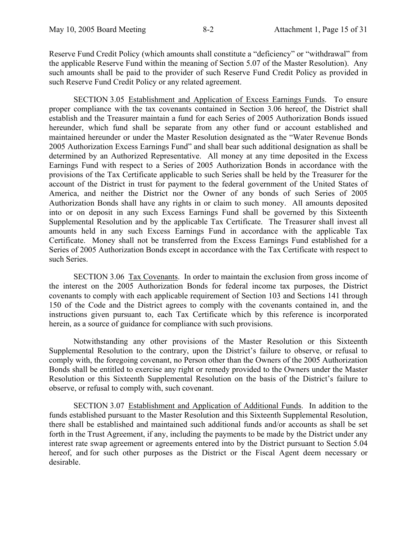Reserve Fund Credit Policy (which amounts shall constitute a "deficiency" or "withdrawal" from the applicable Reserve Fund within the meaning of Section 5.07 of the Master Resolution). Any such amounts shall be paid to the provider of such Reserve Fund Credit Policy as provided in such Reserve Fund Credit Policy or any related agreement.

SECTION 3.05 Establishment and Application of Excess Earnings Funds. To ensure proper compliance with the tax covenants contained in Section 3.06 hereof, the District shall establish and the Treasurer maintain a fund for each Series of 2005 Authorization Bonds issued hereunder, which fund shall be separate from any other fund or account established and maintained hereunder or under the Master Resolution designated as the "Water Revenue Bonds 2005 Authorization Excess Earnings Fund" and shall bear such additional designation as shall be determined by an Authorized Representative. All money at any time deposited in the Excess Earnings Fund with respect to a Series of 2005 Authorization Bonds in accordance with the provisions of the Tax Certificate applicable to such Series shall be held by the Treasurer for the account of the District in trust for payment to the federal government of the United States of America, and neither the District nor the Owner of any bonds of such Series of 2005 Authorization Bonds shall have any rights in or claim to such money. All amounts deposited into or on deposit in any such Excess Earnings Fund shall be governed by this Sixteenth Supplemental Resolution and by the applicable Tax Certificate. The Treasurer shall invest all amounts held in any such Excess Earnings Fund in accordance with the applicable Tax Certificate. Money shall not be transferred from the Excess Earnings Fund established for a Series of 2005 Authorization Bonds except in accordance with the Tax Certificate with respect to such Series.

SECTION 3.06 Tax Covenants. In order to maintain the exclusion from gross income of the interest on the 2005 Authorization Bonds for federal income tax purposes, the District covenants to comply with each applicable requirement of Section 103 and Sections 141 through 150 of the Code and the District agrees to comply with the covenants contained in, and the instructions given pursuant to, each Tax Certificate which by this reference is incorporated herein, as a source of guidance for compliance with such provisions.

Notwithstanding any other provisions of the Master Resolution or this Sixteenth Supplemental Resolution to the contrary, upon the District's failure to observe, or refusal to comply with, the foregoing covenant, no Person other than the Owners of the 2005 Authorization Bonds shall be entitled to exercise any right or remedy provided to the Owners under the Master Resolution or this Sixteenth Supplemental Resolution on the basis of the District's failure to observe, or refusal to comply with, such covenant.

SECTION 3.07 Establishment and Application of Additional Funds. In addition to the funds established pursuant to the Master Resolution and this Sixteenth Supplemental Resolution, there shall be established and maintained such additional funds and/or accounts as shall be set forth in the Trust Agreement, if any, including the payments to be made by the District under any interest rate swap agreement or agreements entered into by the District pursuant to Section 5.04 hereof, and for such other purposes as the District or the Fiscal Agent deem necessary or desirable.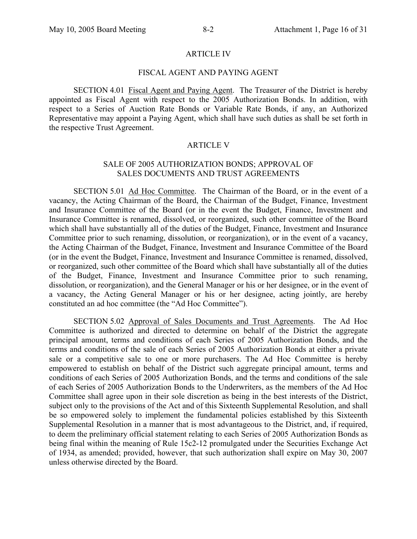#### ARTICLE IV

### FISCAL AGENT AND PAYING AGENT

SECTION 4.01 Fiscal Agent and Paying Agent. The Treasurer of the District is hereby appointed as Fiscal Agent with respect to the 2005 Authorization Bonds. In addition, with respect to a Series of Auction Rate Bonds or Variable Rate Bonds, if any, an Authorized Representative may appoint a Paying Agent, which shall have such duties as shall be set forth in the respective Trust Agreement.

#### ARTICLE V

#### SALE OF 2005 AUTHORIZATION BONDS; APPROVAL OF SALES DOCUMENTS AND TRUST AGREEMENTS

SECTION 5.01 Ad Hoc Committee. The Chairman of the Board, or in the event of a vacancy, the Acting Chairman of the Board, the Chairman of the Budget, Finance, Investment and Insurance Committee of the Board (or in the event the Budget, Finance, Investment and Insurance Committee is renamed, dissolved, or reorganized, such other committee of the Board which shall have substantially all of the duties of the Budget, Finance, Investment and Insurance Committee prior to such renaming, dissolution, or reorganization), or in the event of a vacancy, the Acting Chairman of the Budget, Finance, Investment and Insurance Committee of the Board (or in the event the Budget, Finance, Investment and Insurance Committee is renamed, dissolved, or reorganized, such other committee of the Board which shall have substantially all of the duties of the Budget, Finance, Investment and Insurance Committee prior to such renaming, dissolution, or reorganization), and the General Manager or his or her designee, or in the event of a vacancy, the Acting General Manager or his or her designee, acting jointly, are hereby constituted an ad hoc committee (the "Ad Hoc Committee").

SECTION 5.02 Approval of Sales Documents and Trust Agreements. The Ad Hoc Committee is authorized and directed to determine on behalf of the District the aggregate principal amount, terms and conditions of each Series of 2005 Authorization Bonds, and the terms and conditions of the sale of each Series of 2005 Authorization Bonds at either a private sale or a competitive sale to one or more purchasers. The Ad Hoc Committee is hereby empowered to establish on behalf of the District such aggregate principal amount, terms and conditions of each Series of 2005 Authorization Bonds, and the terms and conditions of the sale of each Series of 2005 Authorization Bonds to the Underwriters, as the members of the Ad Hoc Committee shall agree upon in their sole discretion as being in the best interests of the District, subject only to the provisions of the Act and of this Sixteenth Supplemental Resolution, and shall be so empowered solely to implement the fundamental policies established by this Sixteenth Supplemental Resolution in a manner that is most advantageous to the District, and, if required, to deem the preliminary official statement relating to each Series of 2005 Authorization Bonds as being final within the meaning of Rule 15c2-12 promulgated under the Securities Exchange Act of 1934, as amended; provided, however, that such authorization shall expire on May 30, 2007 unless otherwise directed by the Board.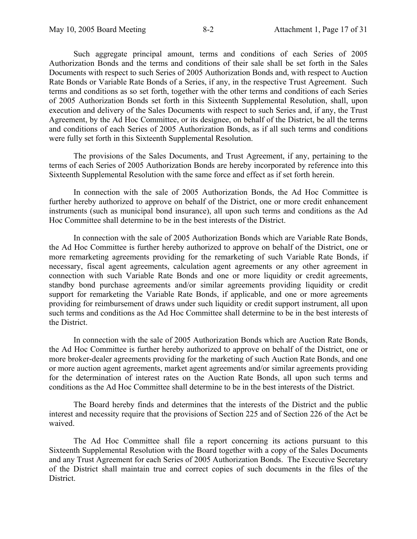Such aggregate principal amount, terms and conditions of each Series of 2005 Authorization Bonds and the terms and conditions of their sale shall be set forth in the Sales Documents with respect to such Series of 2005 Authorization Bonds and, with respect to Auction Rate Bonds or Variable Rate Bonds of a Series, if any, in the respective Trust Agreement. Such terms and conditions as so set forth, together with the other terms and conditions of each Series of 2005 Authorization Bonds set forth in this Sixteenth Supplemental Resolution, shall, upon execution and delivery of the Sales Documents with respect to such Series and, if any, the Trust Agreement, by the Ad Hoc Committee, or its designee, on behalf of the District, be all the terms and conditions of each Series of 2005 Authorization Bonds, as if all such terms and conditions were fully set forth in this Sixteenth Supplemental Resolution.

The provisions of the Sales Documents, and Trust Agreement, if any, pertaining to the terms of each Series of 2005 Authorization Bonds are hereby incorporated by reference into this Sixteenth Supplemental Resolution with the same force and effect as if set forth herein.

In connection with the sale of 2005 Authorization Bonds, the Ad Hoc Committee is further hereby authorized to approve on behalf of the District, one or more credit enhancement instruments (such as municipal bond insurance), all upon such terms and conditions as the Ad Hoc Committee shall determine to be in the best interests of the District.

In connection with the sale of 2005 Authorization Bonds which are Variable Rate Bonds, the Ad Hoc Committee is further hereby authorized to approve on behalf of the District, one or more remarketing agreements providing for the remarketing of such Variable Rate Bonds, if necessary, fiscal agent agreements, calculation agent agreements or any other agreement in connection with such Variable Rate Bonds and one or more liquidity or credit agreements, standby bond purchase agreements and/or similar agreements providing liquidity or credit support for remarketing the Variable Rate Bonds, if applicable, and one or more agreements providing for reimbursement of draws under such liquidity or credit support instrument, all upon such terms and conditions as the Ad Hoc Committee shall determine to be in the best interests of the District.

In connection with the sale of 2005 Authorization Bonds which are Auction Rate Bonds, the Ad Hoc Committee is further hereby authorized to approve on behalf of the District, one or more broker-dealer agreements providing for the marketing of such Auction Rate Bonds, and one or more auction agent agreements, market agent agreements and/or similar agreements providing for the determination of interest rates on the Auction Rate Bonds, all upon such terms and conditions as the Ad Hoc Committee shall determine to be in the best interests of the District.

The Board hereby finds and determines that the interests of the District and the public interest and necessity require that the provisions of Section 225 and of Section 226 of the Act be waived.

The Ad Hoc Committee shall file a report concerning its actions pursuant to this Sixteenth Supplemental Resolution with the Board together with a copy of the Sales Documents and any Trust Agreement for each Series of 2005 Authorization Bonds. The Executive Secretary of the District shall maintain true and correct copies of such documents in the files of the District.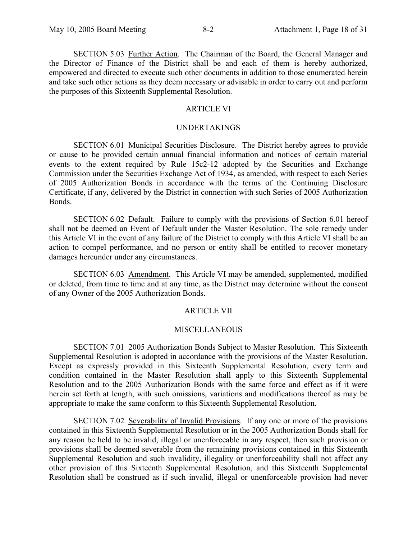SECTION 5.03 Further Action. The Chairman of the Board, the General Manager and the Director of Finance of the District shall be and each of them is hereby authorized, empowered and directed to execute such other documents in addition to those enumerated herein and take such other actions as they deem necessary or advisable in order to carry out and perform the purposes of this Sixteenth Supplemental Resolution.

## ARTICLE VI

#### UNDERTAKINGS

SECTION 6.01 Municipal Securities Disclosure. The District hereby agrees to provide or cause to be provided certain annual financial information and notices of certain material events to the extent required by Rule 15c2-12 adopted by the Securities and Exchange Commission under the Securities Exchange Act of 1934, as amended, with respect to each Series of 2005 Authorization Bonds in accordance with the terms of the Continuing Disclosure Certificate, if any, delivered by the District in connection with such Series of 2005 Authorization Bonds.

SECTION 6.02 Default. Failure to comply with the provisions of Section 6.01 hereof shall not be deemed an Event of Default under the Master Resolution. The sole remedy under this Article VI in the event of any failure of the District to comply with this Article VI shall be an action to compel performance, and no person or entity shall be entitled to recover monetary damages hereunder under any circumstances.

SECTION 6.03 Amendment. This Article VI may be amended, supplemented, modified or deleted, from time to time and at any time, as the District may determine without the consent of any Owner of the 2005 Authorization Bonds.

## ARTICLE VII

#### MISCELLANEOUS

SECTION 7.01 2005 Authorization Bonds Subject to Master Resolution. This Sixteenth Supplemental Resolution is adopted in accordance with the provisions of the Master Resolution. Except as expressly provided in this Sixteenth Supplemental Resolution, every term and condition contained in the Master Resolution shall apply to this Sixteenth Supplemental Resolution and to the 2005 Authorization Bonds with the same force and effect as if it were herein set forth at length, with such omissions, variations and modifications thereof as may be appropriate to make the same conform to this Sixteenth Supplemental Resolution.

SECTION 7.02 Severability of Invalid Provisions. If any one or more of the provisions contained in this Sixteenth Supplemental Resolution or in the 2005 Authorization Bonds shall for any reason be held to be invalid, illegal or unenforceable in any respect, then such provision or provisions shall be deemed severable from the remaining provisions contained in this Sixteenth Supplemental Resolution and such invalidity, illegality or unenforceability shall not affect any other provision of this Sixteenth Supplemental Resolution, and this Sixteenth Supplemental Resolution shall be construed as if such invalid, illegal or unenforceable provision had never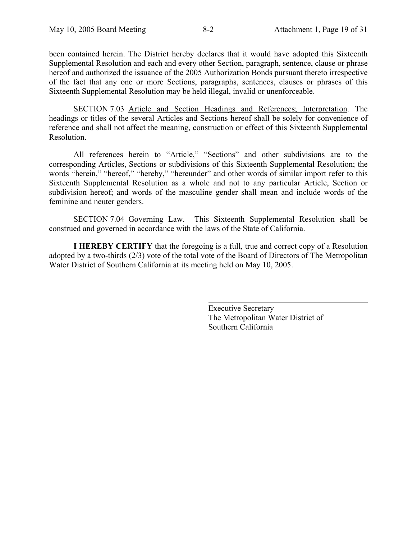been contained herein. The District hereby declares that it would have adopted this Sixteenth Supplemental Resolution and each and every other Section, paragraph, sentence, clause or phrase hereof and authorized the issuance of the 2005 Authorization Bonds pursuant thereto irrespective of the fact that any one or more Sections, paragraphs, sentences, clauses or phrases of this Sixteenth Supplemental Resolution may be held illegal, invalid or unenforceable.

SECTION 7.03 Article and Section Headings and References; Interpretation. The headings or titles of the several Articles and Sections hereof shall be solely for convenience of reference and shall not affect the meaning, construction or effect of this Sixteenth Supplemental Resolution.

All references herein to "Article," "Sections" and other subdivisions are to the corresponding Articles, Sections or subdivisions of this Sixteenth Supplemental Resolution; the words "herein," "hereof," "hereby," "hereunder" and other words of similar import refer to this Sixteenth Supplemental Resolution as a whole and not to any particular Article, Section or subdivision hereof; and words of the masculine gender shall mean and include words of the feminine and neuter genders.

SECTION 7.04 Governing Law. This Sixteenth Supplemental Resolution shall be construed and governed in accordance with the laws of the State of California.

**I HEREBY CERTIFY** that the foregoing is a full, true and correct copy of a Resolution adopted by a two-thirds (2/3) vote of the total vote of the Board of Directors of The Metropolitan Water District of Southern California at its meeting held on May 10, 2005.

 $\overline{a}$ 

Executive Secretary The Metropolitan Water District of Southern California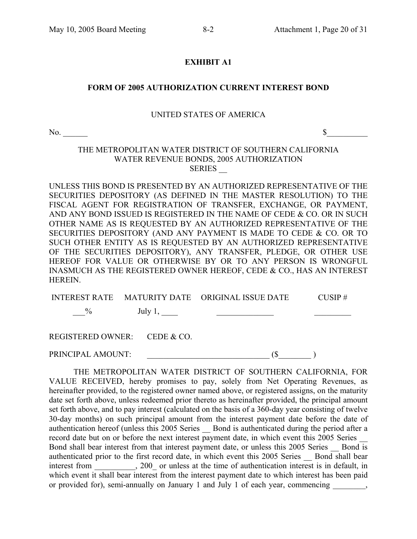## **EXHIBIT A1**

## **FORM OF 2005 AUTHORIZATION CURRENT INTEREST BOND**

#### UNITED STATES OF AMERICA

 $\infty$   $\sim$   $\infty$ 

## THE METROPOLITAN WATER DISTRICT OF SOUTHERN CALIFORNIA WATER REVENUE BONDS, 2005 AUTHORIZATION **SERIES**

UNLESS THIS BOND IS PRESENTED BY AN AUTHORIZED REPRESENTATIVE OF THE SECURITIES DEPOSITORY (AS DEFINED IN THE MASTER RESOLUTION) TO THE FISCAL AGENT FOR REGISTRATION OF TRANSFER, EXCHANGE, OR PAYMENT, AND ANY BOND ISSUED IS REGISTERED IN THE NAME OF CEDE & CO. OR IN SUCH OTHER NAME AS IS REQUESTED BY AN AUTHORIZED REPRESENTATIVE OF THE SECURITIES DEPOSITORY (AND ANY PAYMENT IS MADE TO CEDE & CO. OR TO SUCH OTHER ENTITY AS IS REQUESTED BY AN AUTHORIZED REPRESENTATIVE OF THE SECURITIES DEPOSITORY), ANY TRANSFER, PLEDGE, OR OTHER USE HEREOF FOR VALUE OR OTHERWISE BY OR TO ANY PERSON IS WRONGFUL INASMUCH AS THE REGISTERED OWNER HEREOF, CEDE & CO., HAS AN INTEREST HEREIN.

|                   |                              | INTEREST RATE MATURITY DATE ORIGINAL ISSUE DATE | $CUSIP \#$ |
|-------------------|------------------------------|-------------------------------------------------|------------|
| $\%$              | July $1,$                    |                                                 |            |
|                   | REGISTERED OWNER: CEDE & CO. |                                                 |            |
| PRINCIPAL AMOUNT: |                              |                                                 |            |

THE METROPOLITAN WATER DISTRICT OF SOUTHERN CALIFORNIA, FOR VALUE RECEIVED, hereby promises to pay, solely from Net Operating Revenues, as hereinafter provided, to the registered owner named above, or registered assigns, on the maturity date set forth above, unless redeemed prior thereto as hereinafter provided, the principal amount set forth above, and to pay interest (calculated on the basis of a 360-day year consisting of twelve 30-day months) on such principal amount from the interest payment date before the date of authentication hereof (unless this 2005 Series \_\_ Bond is authenticated during the period after a record date but on or before the next interest payment date, in which event this 2005 Series Bond shall bear interest from that interest payment date, or unless this 2005 Series Bond is authenticated prior to the first record date, in which event this 2005 Series Bond shall bear interest from 200 or unless at the time of authentication interest is in default, in which event it shall bear interest from the interest payment date to which interest has been paid or provided for), semi-annually on January 1 and July 1 of each year, commencing  $\qquad \qquad$ ,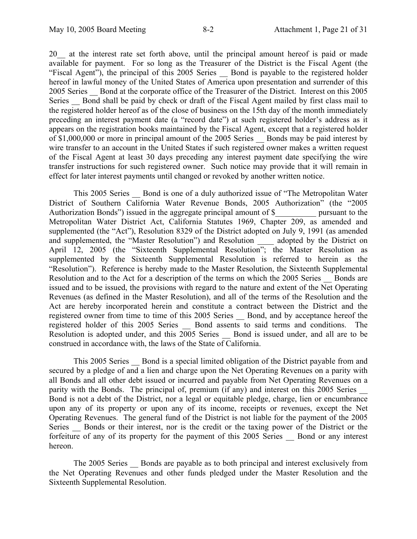20\_\_ at the interest rate set forth above, until the principal amount hereof is paid or made available for payment. For so long as the Treasurer of the District is the Fiscal Agent (the "Fiscal Agent"), the principal of this 2005 Series Bond is payable to the registered holder hereof in lawful money of the United States of America upon presentation and surrender of this 2005 Series Bond at the corporate office of the Treasurer of the District. Interest on this 2005 Series Bond shall be paid by check or draft of the Fiscal Agent mailed by first class mail to the registered holder hereof as of the close of business on the 15th day of the month immediately preceding an interest payment date (a "record date") at such registered holder's address as it appears on the registration books maintained by the Fiscal Agent, except that a registered holder of \$1,000,000 or more in principal amount of the 2005 Series Bonds may be paid interest by wire transfer to an account in the United States if such registered owner makes a written request of the Fiscal Agent at least 30 days preceding any interest payment date specifying the wire transfer instructions for such registered owner. Such notice may provide that it will remain in effect for later interest payments until changed or revoked by another written notice.

This 2005 Series Bond is one of a duly authorized issue of "The Metropolitan Water" District of Southern California Water Revenue Bonds, 2005 Authorization" (the "2005 Authorization Bonds") issued in the aggregate principal amount of \$\_\_\_\_\_\_\_\_\_\_\_\_\_ pursuant to the Metropolitan Water District Act, California Statutes 1969, Chapter 209, as amended and supplemented (the "Act"), Resolution 8329 of the District adopted on July 9, 1991 (as amended and supplemented, the "Master Resolution") and Resolution adopted by the District on and supplemented, the "Master Resolution") and Resolution adopted by the District on April 12, 2005 (the "Sixteenth Supplemental Resolution"; the Master Resolution as supplemented by the Sixteenth Supplemental Resolution is referred to herein as the "Resolution"). Reference is hereby made to the Master Resolution, the Sixteenth Supplemental Resolution and to the Act for a description of the terms on which the 2005 Series — Bonds are issued and to be issued, the provisions with regard to the nature and extent of the Net Operating Revenues (as defined in the Master Resolution), and all of the terms of the Resolution and the Act are hereby incorporated herein and constitute a contract between the District and the registered owner from time to time of this 2005 Series \_\_ Bond, and by acceptance hereof the registered holder of this 2005 Series \_\_ Bond assents to said terms and conditions. The Resolution is adopted under, and this  $2005$  Series Bond is issued under, and all are to be construed in accordance with, the laws of the State of California.

This 2005 Series \_\_ Bond is a special limited obligation of the District payable from and secured by a pledge of and a lien and charge upon the Net Operating Revenues on a parity with all Bonds and all other debt issued or incurred and payable from Net Operating Revenues on a parity with the Bonds. The principal of, premium (if any) and interest on this 2005 Series Bond is not a debt of the District, nor a legal or equitable pledge, charge, lien or encumbrance upon any of its property or upon any of its income, receipts or revenues, except the Net Operating Revenues. The general fund of the District is not liable for the payment of the 2005 Series Bonds or their interest, nor is the credit or the taxing power of the District or the forfeiture of any of its property for the payment of this 2005 Series Bond or any interest hereon.

The 2005 Series Bonds are payable as to both principal and interest exclusively from the Net Operating Revenues and other funds pledged under the Master Resolution and the Sixteenth Supplemental Resolution.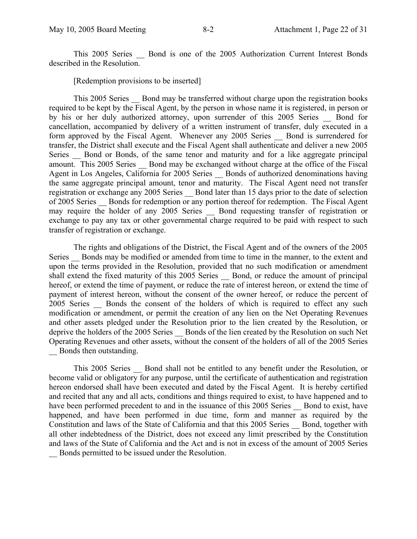This 2005 Series **Bond is one of the 2005 Authorization Current Interest Bonds** described in the Resolution.

[Redemption provisions to be inserted]

This 2005 Series Bond may be transferred without charge upon the registration books required to be kept by the Fiscal Agent, by the person in whose name it is registered, in person or by his or her duly authorized attorney, upon surrender of this 2005 Series \_\_ Bond for cancellation, accompanied by delivery of a written instrument of transfer, duly executed in a form approved by the Fiscal Agent. Whenever any 2005 Series Bond is surrendered for transfer, the District shall execute and the Fiscal Agent shall authenticate and deliver a new 2005 Series Bond or Bonds, of the same tenor and maturity and for a like aggregate principal amount. This 2005 Series \_\_ Bond may be exchanged without charge at the office of the Fiscal Agent in Los Angeles, California for 2005 Series Bonds of authorized denominations having the same aggregate principal amount, tenor and maturity. The Fiscal Agent need not transfer registration or exchange any 2005 Series Bond later than 15 days prior to the date of selection of 2005 Series Bonds for redemption or any portion thereof for redemption. The Fiscal Agent may require the holder of any 2005 Series \_\_ Bond requesting transfer of registration or exchange to pay any tax or other governmental charge required to be paid with respect to such transfer of registration or exchange.

The rights and obligations of the District, the Fiscal Agent and of the owners of the 2005 Series Bonds may be modified or amended from time to time in the manner, to the extent and upon the terms provided in the Resolution, provided that no such modification or amendment shall extend the fixed maturity of this 2005 Series Bond, or reduce the amount of principal hereof, or extend the time of payment, or reduce the rate of interest hereon, or extend the time of payment of interest hereon, without the consent of the owner hereof, or reduce the percent of 2005 Series Bonds the consent of the holders of which is required to effect any such modification or amendment, or permit the creation of any lien on the Net Operating Revenues and other assets pledged under the Resolution prior to the lien created by the Resolution, or deprive the holders of the 2005 Series Bonds of the lien created by the Resolution on such Net Operating Revenues and other assets, without the consent of the holders of all of the 2005 Series Bonds then outstanding.

This 2005 Series \_\_ Bond shall not be entitled to any benefit under the Resolution, or become valid or obligatory for any purpose, until the certificate of authentication and registration hereon endorsed shall have been executed and dated by the Fiscal Agent. It is hereby certified and recited that any and all acts, conditions and things required to exist, to have happened and to have been performed precedent to and in the issuance of this 2005 Series Bond to exist, have happened, and have been performed in due time, form and manner as required by the Constitution and laws of the State of California and that this 2005 Series \_\_ Bond, together with all other indebtedness of the District, does not exceed any limit prescribed by the Constitution and laws of the State of California and the Act and is not in excess of the amount of 2005 Series \_\_ Bonds permitted to be issued under the Resolution.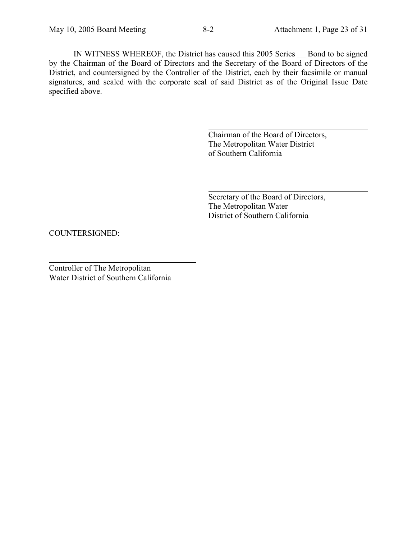IN WITNESS WHEREOF, the District has caused this 2005 Series \_\_ Bond to be signed by the Chairman of the Board of Directors and the Secretary of the Board of Directors of the District, and countersigned by the Controller of the District, each by their facsimile or manual signatures, and sealed with the corporate seal of said District as of the Original Issue Date specified above.

 $\overline{a}$ 

 $\overline{a}$ 

Chairman of the Board of Directors, The Metropolitan Water District of Southern California

Secretary of the Board of Directors, The Metropolitan Water District of Southern California

COUNTERSIGNED:

Controller of The Metropolitan Water District of Southern California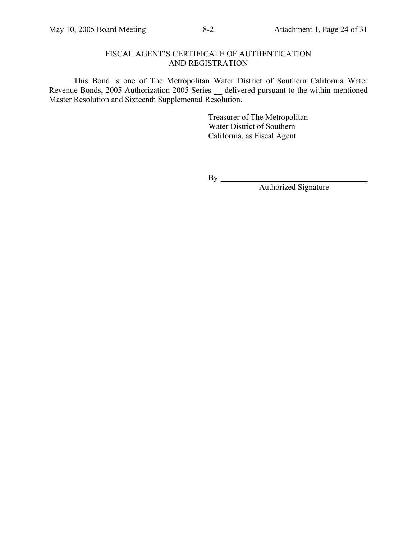## FISCAL AGENT'S CERTIFICATE OF AUTHENTICATION AND REGISTRATION

This Bond is one of The Metropolitan Water District of Southern California Water Revenue Bonds, 2005 Authorization 2005 Series \_\_ delivered pursuant to the within mentioned Master Resolution and Sixteenth Supplemental Resolution.

> Treasurer of The Metropolitan Water District of Southern California, as Fiscal Agent

By

Authorized Signature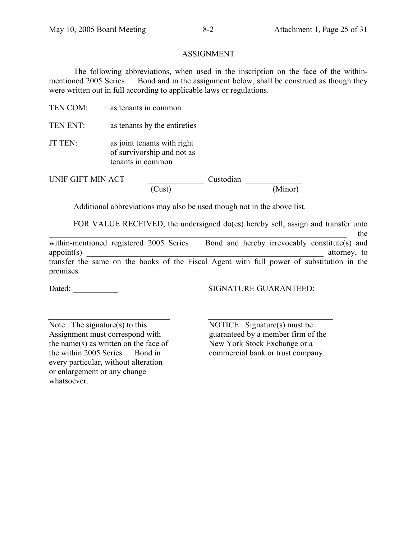## ASSIGNMENT

The following abbreviations, when used in the inscription on the face of the withinmentioned 2005 Series Bond and in the assignment below, shall be construed as though they were written out in full according to applicable laws or regulations.

- TEN COM: as tenants in common
- TEN ENT: as tenants by the entireties
- JT TEN: as joint tenants with right of survivorship and not as tenants in common

UNIF GIFT MIN ACT Custodian

(Cust) (Minor)

Additional abbreviations may also be used though not in the above list.

FOR VALUE RECEIVED, the undersigned do(es) hereby sell, assign and transfer unto

\_\_\_\_\_\_\_\_\_\_\_\_\_\_\_\_\_\_\_\_\_\_\_\_\_\_\_\_\_\_\_\_\_\_\_\_\_\_\_\_\_\_\_\_\_\_\_\_\_\_\_\_\_\_\_\_\_\_\_\_\_\_\_\_\_\_\_\_\_\_\_\_\_ the within-mentioned registered 2005 Series Slond and hereby irrevocably constitute(s) and appoint(s) and a strongle-strongle-strongle-strongle-strongle-strongle-strongle-strongle-strongle-strongle-strongle-strongle-strongle-strongle-strongle-strongle-strongle-strongle-strongle-strongle-strongle-strongle-strongl transfer the same on the books of the Fiscal Agent with full power of substitution in the premises.

Dated: \_\_\_\_\_\_\_\_\_\_\_ SIGNATURE GUARANTEED:

Note: The signature(s) to this Assignment must correspond with the name(s) as written on the face of the within 2005 Series Bond in every particular, without alteration or enlargement or any change whatsoever.

 NOTICE: Signature(s) must be guaranteed by a member firm of the New York Stock Exchange or a commercial bank or trust company.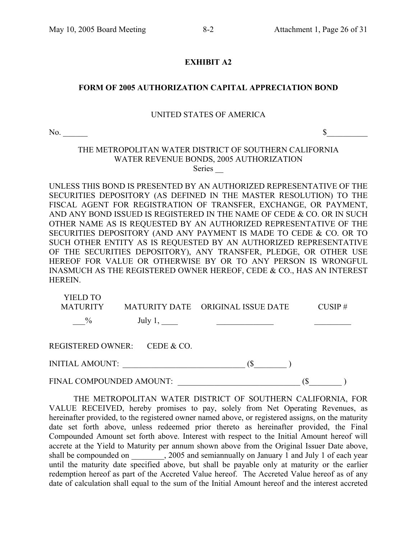## **EXHIBIT A2**

## **FORM OF 2005 AUTHORIZATION CAPITAL APPRECIATION BOND**

#### UNITED STATES OF AMERICA

No.  $\sim$ 

## THE METROPOLITAN WATER DISTRICT OF SOUTHERN CALIFORNIA WATER REVENUE BONDS, 2005 AUTHORIZATION Series  $\overline{\phantom{a}}$

UNLESS THIS BOND IS PRESENTED BY AN AUTHORIZED REPRESENTATIVE OF THE SECURITIES DEPOSITORY (AS DEFINED IN THE MASTER RESOLUTION) TO THE FISCAL AGENT FOR REGISTRATION OF TRANSFER, EXCHANGE, OR PAYMENT, AND ANY BOND ISSUED IS REGISTERED IN THE NAME OF CEDE & CO. OR IN SUCH OTHER NAME AS IS REQUESTED BY AN AUTHORIZED REPRESENTATIVE OF THE SECURITIES DEPOSITORY (AND ANY PAYMENT IS MADE TO CEDE & CO. OR TO SUCH OTHER ENTITY AS IS REQUESTED BY AN AUTHORIZED REPRESENTATIVE OF THE SECURITIES DEPOSITORY), ANY TRANSFER, PLEDGE, OR OTHER USE HEREOF FOR VALUE OR OTHERWISE BY OR TO ANY PERSON IS WRONGFUL INASMUCH AS THE REGISTERED OWNER HEREOF, CEDE & CO., HAS AN INTEREST HEREIN.

| YIELD TO<br><b>MATURITY</b> |                              | MATURITY DATE ORIGINAL ISSUE DATE | CUSIP# |
|-----------------------------|------------------------------|-----------------------------------|--------|
| $\frac{0}{0}$               | July $1,$                    |                                   |        |
|                             | REGISTERED OWNER: CEDE & CO. |                                   |        |
| <b>INITIAL AMOUNT:</b>      |                              |                                   |        |
| FINAL COMPOUNDED AMOUNT:    |                              |                                   |        |

THE METROPOLITAN WATER DISTRICT OF SOUTHERN CALIFORNIA, FOR VALUE RECEIVED, hereby promises to pay, solely from Net Operating Revenues, as hereinafter provided, to the registered owner named above, or registered assigns, on the maturity date set forth above, unless redeemed prior thereto as hereinafter provided, the Final Compounded Amount set forth above. Interest with respect to the Initial Amount hereof will accrete at the Yield to Maturity per annum shown above from the Original Issuer Date above, shall be compounded on \_\_\_\_\_\_\_, 2005 and semiannually on January 1 and July 1 of each year until the maturity date specified above, but shall be payable only at maturity or the earlier redemption hereof as part of the Accreted Value hereof. The Accreted Value hereof as of any date of calculation shall equal to the sum of the Initial Amount hereof and the interest accreted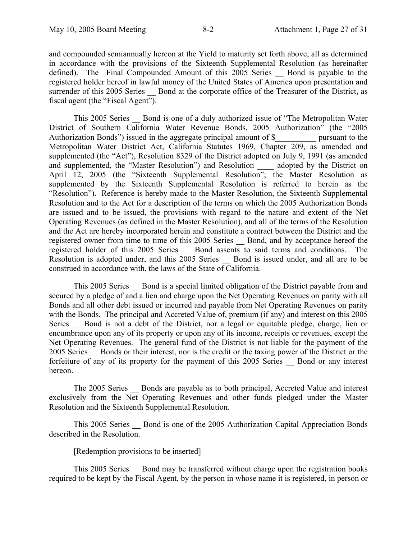and compounded semiannually hereon at the Yield to maturity set forth above, all as determined in accordance with the provisions of the Sixteenth Supplemental Resolution (as hereinafter defined). The Final Compounded Amount of this 2005 Series Bond is payable to the registered holder hereof in lawful money of the United States of America upon presentation and surrender of this 2005 Series Bond at the corporate office of the Treasurer of the District, as fiscal agent (the "Fiscal Agent").

This 2005 Series Bond is one of a duly authorized issue of "The Metropolitan Water" District of Southern California Water Revenue Bonds, 2005 Authorization" (the "2005 Authorization Bonds") issued in the aggregate principal amount of \$ pursuant to the Metropolitan Water District Act, California Statutes 1969, Chapter 209, as amended and supplemented (the "Act"), Resolution 8329 of the District adopted on July 9, 1991 (as amended and supplemented, the "Master Resolution") and Resolution adopted by the District on April 12, 2005 (the "Sixteenth Supplemental Resolution"; the Master Resolution as supplemented by the Sixteenth Supplemental Resolution is referred to herein as the "Resolution"). Reference is hereby made to the Master Resolution, the Sixteenth Supplemental Resolution and to the Act for a description of the terms on which the 2005 Authorization Bonds are issued and to be issued, the provisions with regard to the nature and extent of the Net Operating Revenues (as defined in the Master Resolution), and all of the terms of the Resolution and the Act are hereby incorporated herein and constitute a contract between the District and the registered owner from time to time of this 2005 Series \_\_ Bond, and by acceptance hereof the registered holder of this 2005 Series \_\_ Bond assents to said terms and conditions. The Resolution is adopted under, and this 2005 Series Bond is issued under, and all are to be construed in accordance with, the laws of the State of California.

This 2005 Series \_\_ Bond is a special limited obligation of the District payable from and secured by a pledge of and a lien and charge upon the Net Operating Revenues on parity with all Bonds and all other debt issued or incurred and payable from Net Operating Revenues on parity with the Bonds. The principal and Accreted Value of, premium (if any) and interest on this 2005 Series — Bond is not a debt of the District, nor a legal or equitable pledge, charge, lien or encumbrance upon any of its property or upon any of its income, receipts or revenues, except the Net Operating Revenues. The general fund of the District is not liable for the payment of the 2005 Series Bonds or their interest, nor is the credit or the taxing power of the District or the forfeiture of any of its property for the payment of this 2005 Series Bond or any interest hereon.

The 2005 Series Bonds are payable as to both principal, Accreted Value and interest exclusively from the Net Operating Revenues and other funds pledged under the Master Resolution and the Sixteenth Supplemental Resolution.

This 2005 Series \_\_ Bond is one of the 2005 Authorization Capital Appreciation Bonds described in the Resolution.

[Redemption provisions to be inserted]

This 2005 Series — Bond may be transferred without charge upon the registration books required to be kept by the Fiscal Agent, by the person in whose name it is registered, in person or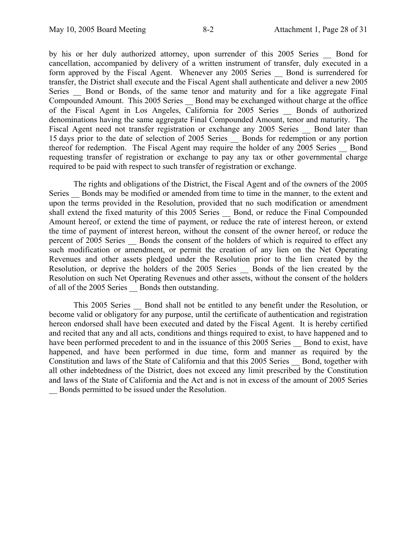by his or her duly authorized attorney, upon surrender of this 2005 Series Bond for cancellation, accompanied by delivery of a written instrument of transfer, duly executed in a form approved by the Fiscal Agent. Whenever any 2005 Series Bond is surrendered for transfer, the District shall execute and the Fiscal Agent shall authenticate and deliver a new 2005 Series Bond or Bonds, of the same tenor and maturity and for a like aggregate Final Compounded Amount. This 2005 Series Bond may be exchanged without charge at the office of the Fiscal Agent in Los Angeles, California for 2005 Series \_\_ Bonds of authorized denominations having the same aggregate Final Compounded Amount, tenor and maturity. The Fiscal Agent need not transfer registration or exchange any 2005 Series Bond later than 15 days prior to the date of selection of 2005 Series \_\_ Bonds for redemption or any portion thereof for redemption. The Fiscal Agent may require the holder of any 2005 Series \_\_ Bond requesting transfer of registration or exchange to pay any tax or other governmental charge required to be paid with respect to such transfer of registration or exchange.

The rights and obligations of the District, the Fiscal Agent and of the owners of the 2005 Series Bonds may be modified or amended from time to time in the manner, to the extent and upon the terms provided in the Resolution, provided that no such modification or amendment shall extend the fixed maturity of this 2005 Series \_\_ Bond, or reduce the Final Compounded Amount hereof, or extend the time of payment, or reduce the rate of interest hereon, or extend the time of payment of interest hereon, without the consent of the owner hereof, or reduce the percent of 2005 Series Bonds the consent of the holders of which is required to effect any such modification or amendment, or permit the creation of any lien on the Net Operating Revenues and other assets pledged under the Resolution prior to the lien created by the Resolution, or deprive the holders of the 2005 Series Bonds of the lien created by the Resolution on such Net Operating Revenues and other assets, without the consent of the holders of all of the 2005 Series Bonds then outstanding.

This 2005 Series Bond shall not be entitled to any benefit under the Resolution, or become valid or obligatory for any purpose, until the certificate of authentication and registration hereon endorsed shall have been executed and dated by the Fiscal Agent. It is hereby certified and recited that any and all acts, conditions and things required to exist, to have happened and to have been performed precedent to and in the issuance of this 2005 Series — Bond to exist, have happened, and have been performed in due time, form and manner as required by the Constitution and laws of the State of California and that this 2005 Series \_\_ Bond, together with all other indebtedness of the District, does not exceed any limit prescribed by the Constitution and laws of the State of California and the Act and is not in excess of the amount of 2005 Series \_\_ Bonds permitted to be issued under the Resolution.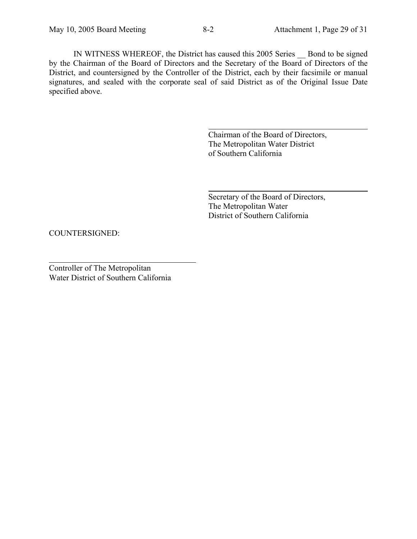IN WITNESS WHEREOF, the District has caused this 2005 Series \_\_ Bond to be signed by the Chairman of the Board of Directors and the Secretary of the Board of Directors of the District, and countersigned by the Controller of the District, each by their facsimile or manual signatures, and sealed with the corporate seal of said District as of the Original Issue Date specified above.

 $\overline{a}$ 

 $\overline{a}$ 

Chairman of the Board of Directors, The Metropolitan Water District of Southern California

Secretary of the Board of Directors, The Metropolitan Water District of Southern California

COUNTERSIGNED:

Controller of The Metropolitan Water District of Southern California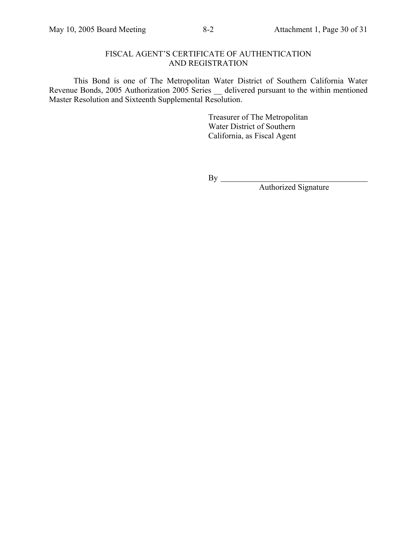## FISCAL AGENT'S CERTIFICATE OF AUTHENTICATION AND REGISTRATION

This Bond is one of The Metropolitan Water District of Southern California Water Revenue Bonds, 2005 Authorization 2005 Series \_\_ delivered pursuant to the within mentioned Master Resolution and Sixteenth Supplemental Resolution.

> Treasurer of The Metropolitan Water District of Southern California, as Fiscal Agent

 $By \_\_$ 

Authorized Signature